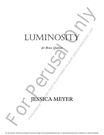## Per Brass Quinter Must be purchased via were also and the purchase of the purchase of the purchase of the purchase of the purchase of the purchase of the purchase of the purchase of the purchase of the purchase of the purc LUMINOSITY LUMINOSITY &

*for Brass Quintet*

## JESSICA MEYER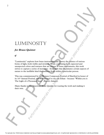## LUMINOSITY

## *for Brass Quintet*

**6'**

NOSITY<br>
winntet<br>
splotes how brass instruments can conver the essence of various<br>
splotes how brass instruments can conver be essence of various<br>
cost wis instruments are unique to brass instruments, this work<br>
can series For *Brusse Quintet*<br>
Torrists Quintet  $\alpha$ <br>
The *Draws Quintet*<br>
The *Company of Conditions*  $\alpha$  and  $\alpha$  and  $\alpha$  and  $\alpha$  and  $\alpha$  and  $\alpha$  and  $\alpha$  and  $\alpha$  and  $\alpha$  and  $\alpha$  and  $\alpha$  and  $\alpha$  and  $\alpha$  and  $\alpha$  and "Luminosity" explores how brass instruments can convey the essence of various forms of light, both visible and invisible. While combining both expected and unexpected colors and textures that are unique to brass instruments, this work strives to capture a series of moments - from light that illuminates certain aspects of nature to the ineffable kind that radiates from within a particular person.

This was commissioned by the Women Composers Festival of Hartford in honor of its 16th Annual Festival, and is dedicated to my son Ethan - because "Within you is The Light of a Thousand Suns" (Robert Adams).

Many thanks to the American Brass Quintet for touring the work and making it their own.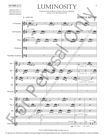

<sup>©2016</sup> by JMM Publishing (BMI). All rights reserved.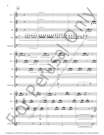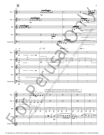

For perusal only. Performance materials must be purchased via www.jessicameyermusic.com. Unauthorized reproduction or distribution is strictly prohibited.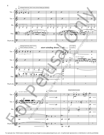

For perusal only. Performance materials must be purchased via www.jessicameyermusic.com. Unauthorized reproduction or distribution is strictly prohibited.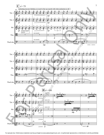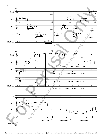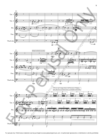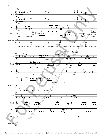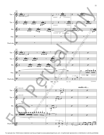